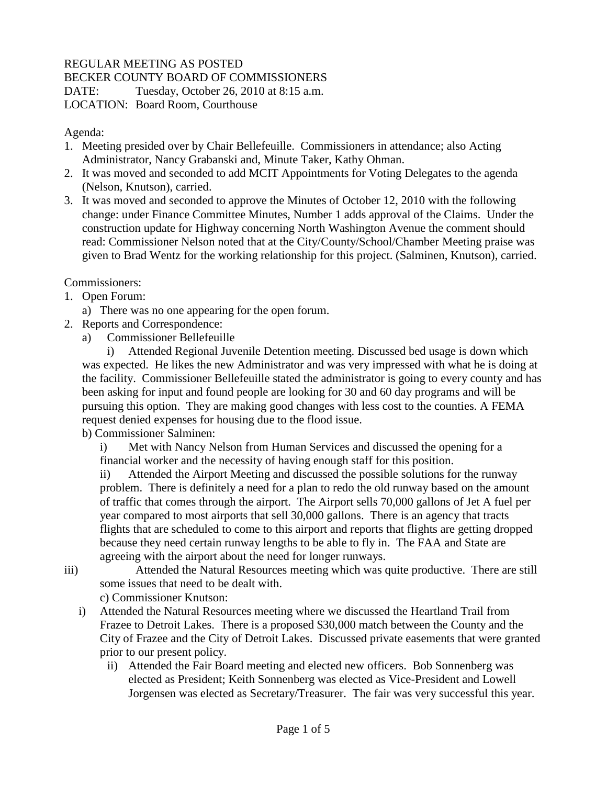## REGULAR MEETING AS POSTED

BECKER COUNTY BOARD OF COMMISSIONERS

DATE: Tuesday, October 26, 2010 at 8:15 a.m. LOCATION: Board Room, Courthouse

Agenda:

- 1. Meeting presided over by Chair Bellefeuille. Commissioners in attendance; also Acting Administrator, Nancy Grabanski and, Minute Taker, Kathy Ohman.
- 2. It was moved and seconded to add MCIT Appointments for Voting Delegates to the agenda (Nelson, Knutson), carried.
- 3. It was moved and seconded to approve the Minutes of October 12, 2010 with the following change: under Finance Committee Minutes, Number 1 adds approval of the Claims. Under the construction update for Highway concerning North Washington Avenue the comment should read: Commissioner Nelson noted that at the City/County/School/Chamber Meeting praise was given to Brad Wentz for the working relationship for this project. (Salminen, Knutson), carried.

Commissioners:

- 1. Open Forum:
	- a) There was no one appearing for the open forum.
- 2. Reports and Correspondence:
	- a) Commissioner Bellefeuille

i) Attended Regional Juvenile Detention meeting. Discussed bed usage is down which was expected. He likes the new Administrator and was very impressed with what he is doing at the facility. Commissioner Bellefeuille stated the administrator is going to every county and has been asking for input and found people are looking for 30 and 60 day programs and will be pursuing this option. They are making good changes with less cost to the counties. A FEMA request denied expenses for housing due to the flood issue.

b) Commissioner Salminen:

i) Met with Nancy Nelson from Human Services and discussed the opening for a financial worker and the necessity of having enough staff for this position.

ii) Attended the Airport Meeting and discussed the possible solutions for the runway problem. There is definitely a need for a plan to redo the old runway based on the amount of traffic that comes through the airport. The Airport sells 70,000 gallons of Jet A fuel per year compared to most airports that sell 30,000 gallons. There is an agency that tracts flights that are scheduled to come to this airport and reports that flights are getting dropped because they need certain runway lengths to be able to fly in. The FAA and State are agreeing with the airport about the need for longer runways.

- 
- iii) Attended the Natural Resources meeting which was quite productive. There are still some issues that need to be dealt with.

c) Commissioner Knutson:

- i) Attended the Natural Resources meeting where we discussed the Heartland Trail from Frazee to Detroit Lakes. There is a proposed \$30,000 match between the County and the City of Frazee and the City of Detroit Lakes. Discussed private easements that were granted prior to our present policy.
	- ii) Attended the Fair Board meeting and elected new officers. Bob Sonnenberg was elected as President; Keith Sonnenberg was elected as Vice-President and Lowell Jorgensen was elected as Secretary/Treasurer. The fair was very successful this year.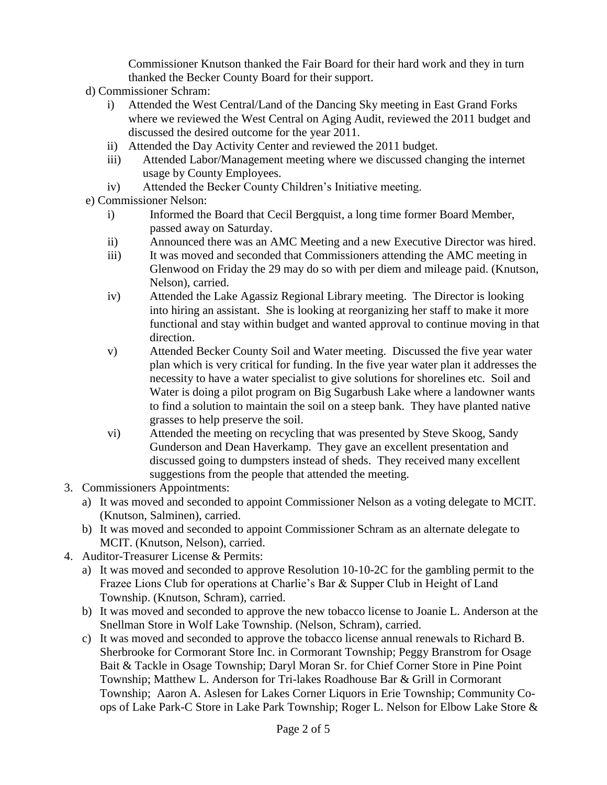Commissioner Knutson thanked the Fair Board for their hard work and they in turn thanked the Becker County Board for their support.

- d) Commissioner Schram:
	- i) Attended the West Central/Land of the Dancing Sky meeting in East Grand Forks where we reviewed the West Central on Aging Audit, reviewed the 2011 budget and discussed the desired outcome for the year 2011.
	- ii) Attended the Day Activity Center and reviewed the 2011 budget.
	- iii) Attended Labor/Management meeting where we discussed changing the internet usage by County Employees.
	- iv) Attended the Becker County Children's Initiative meeting.
- e) Commissioner Nelson:
	- i) Informed the Board that Cecil Bergquist, a long time former Board Member, passed away on Saturday.
	- ii) Announced there was an AMC Meeting and a new Executive Director was hired.
	- iii) It was moved and seconded that Commissioners attending the AMC meeting in Glenwood on Friday the 29 may do so with per diem and mileage paid. (Knutson, Nelson), carried.
	- iv) Attended the Lake Agassiz Regional Library meeting. The Director is looking into hiring an assistant. She is looking at reorganizing her staff to make it more functional and stay within budget and wanted approval to continue moving in that direction.
	- v) Attended Becker County Soil and Water meeting. Discussed the five year water plan which is very critical for funding. In the five year water plan it addresses the necessity to have a water specialist to give solutions for shorelines etc. Soil and Water is doing a pilot program on Big Sugarbush Lake where a landowner wants to find a solution to maintain the soil on a steep bank. They have planted native grasses to help preserve the soil.
	- vi) Attended the meeting on recycling that was presented by Steve Skoog, Sandy Gunderson and Dean Haverkamp. They gave an excellent presentation and discussed going to dumpsters instead of sheds. They received many excellent suggestions from the people that attended the meeting.
- 3. Commissioners Appointments:
	- a) It was moved and seconded to appoint Commissioner Nelson as a voting delegate to MCIT. (Knutson, Salminen), carried.
	- b) It was moved and seconded to appoint Commissioner Schram as an alternate delegate to MCIT. (Knutson, Nelson), carried.
- 4. Auditor-Treasurer License & Permits:
	- a) It was moved and seconded to approve Resolution 10-10-2C for the gambling permit to the Frazee Lions Club for operations at Charlie's Bar & Supper Club in Height of Land Township. (Knutson, Schram), carried.
	- b) It was moved and seconded to approve the new tobacco license to Joanie L. Anderson at the Snellman Store in Wolf Lake Township. (Nelson, Schram), carried.
	- c) It was moved and seconded to approve the tobacco license annual renewals to Richard B. Sherbrooke for Cormorant Store Inc. in Cormorant Township; Peggy Branstrom for Osage Bait & Tackle in Osage Township; Daryl Moran Sr. for Chief Corner Store in Pine Point Township; Matthew L. Anderson for Tri-lakes Roadhouse Bar & Grill in Cormorant Township; Aaron A. Aslesen for Lakes Corner Liquors in Erie Township; Community Coops of Lake Park-C Store in Lake Park Township; Roger L. Nelson for Elbow Lake Store &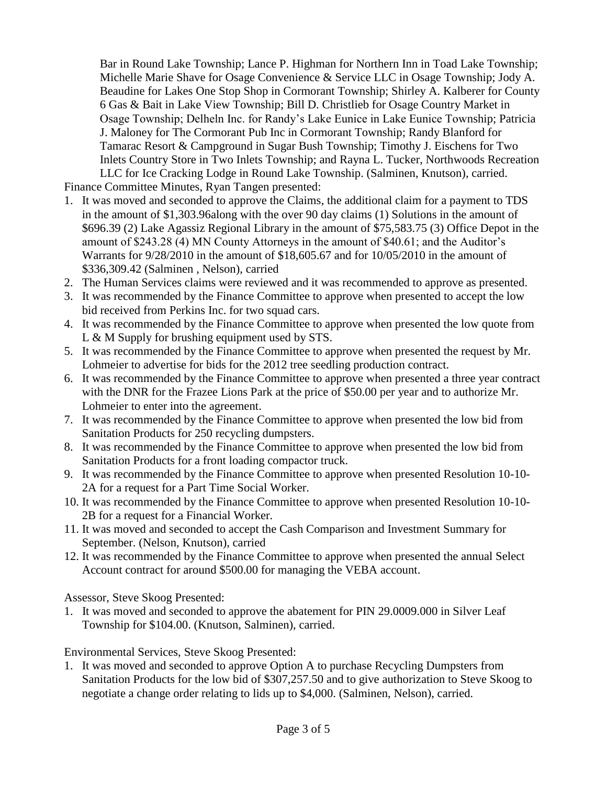Bar in Round Lake Township; Lance P. Highman for Northern Inn in Toad Lake Township; Michelle Marie Shave for Osage Convenience & Service LLC in Osage Township; Jody A. Beaudine for Lakes One Stop Shop in Cormorant Township; Shirley A. Kalberer for County 6 Gas & Bait in Lake View Township; Bill D. Christlieb for Osage Country Market in Osage Township; Delheln Inc. for Randy's Lake Eunice in Lake Eunice Township; Patricia J. Maloney for The Cormorant Pub Inc in Cormorant Township; Randy Blanford for Tamarac Resort & Campground in Sugar Bush Township; Timothy J. Eischens for Two Inlets Country Store in Two Inlets Township; and Rayna L. Tucker, Northwoods Recreation LLC for Ice Cracking Lodge in Round Lake Township. (Salminen, Knutson), carried.

Finance Committee Minutes, Ryan Tangen presented:

- 1. It was moved and seconded to approve the Claims, the additional claim for a payment to TDS in the amount of \$1,303.96along with the over 90 day claims (1) Solutions in the amount of \$696.39 (2) Lake Agassiz Regional Library in the amount of \$75,583.75 (3) Office Depot in the amount of \$243.28 (4) MN County Attorneys in the amount of \$40.61; and the Auditor's Warrants for 9/28/2010 in the amount of \$18,605.67 and for 10/05/2010 in the amount of \$336,309.42 (Salminen , Nelson), carried
- 2. The Human Services claims were reviewed and it was recommended to approve as presented.
- 3. It was recommended by the Finance Committee to approve when presented to accept the low bid received from Perkins Inc. for two squad cars.
- 4. It was recommended by the Finance Committee to approve when presented the low quote from L & M Supply for brushing equipment used by STS.
- 5. It was recommended by the Finance Committee to approve when presented the request by Mr. Lohmeier to advertise for bids for the 2012 tree seedling production contract.
- 6. It was recommended by the Finance Committee to approve when presented a three year contract with the DNR for the Frazee Lions Park at the price of \$50.00 per year and to authorize Mr. Lohmeier to enter into the agreement.
- 7. It was recommended by the Finance Committee to approve when presented the low bid from Sanitation Products for 250 recycling dumpsters.
- 8. It was recommended by the Finance Committee to approve when presented the low bid from Sanitation Products for a front loading compactor truck.
- 9. It was recommended by the Finance Committee to approve when presented Resolution 10-10- 2A for a request for a Part Time Social Worker.
- 10. It was recommended by the Finance Committee to approve when presented Resolution 10-10- 2B for a request for a Financial Worker.
- 11. It was moved and seconded to accept the Cash Comparison and Investment Summary for September. (Nelson, Knutson), carried
- 12. It was recommended by the Finance Committee to approve when presented the annual Select Account contract for around \$500.00 for managing the VEBA account.

Assessor, Steve Skoog Presented:

1. It was moved and seconded to approve the abatement for PIN 29.0009.000 in Silver Leaf Township for \$104.00. (Knutson, Salminen), carried.

Environmental Services, Steve Skoog Presented:

1. It was moved and seconded to approve Option A to purchase Recycling Dumpsters from Sanitation Products for the low bid of \$307,257.50 and to give authorization to Steve Skoog to negotiate a change order relating to lids up to \$4,000. (Salminen, Nelson), carried.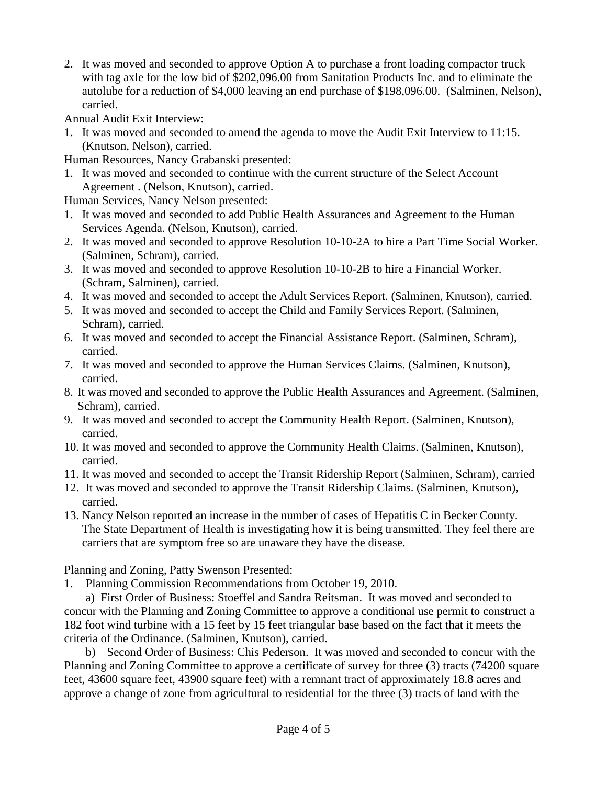2. It was moved and seconded to approve Option A to purchase a front loading compactor truck with tag axle for the low bid of \$202,096.00 from Sanitation Products Inc. and to eliminate the autolube for a reduction of \$4,000 leaving an end purchase of \$198,096.00. (Salminen, Nelson), carried.

Annual Audit Exit Interview:

- 1. It was moved and seconded to amend the agenda to move the Audit Exit Interview to 11:15. (Knutson, Nelson), carried.
- Human Resources, Nancy Grabanski presented:
- 1. It was moved and seconded to continue with the current structure of the Select Account Agreement . (Nelson, Knutson), carried.

Human Services, Nancy Nelson presented:

- 1. It was moved and seconded to add Public Health Assurances and Agreement to the Human Services Agenda. (Nelson, Knutson), carried.
- 2. It was moved and seconded to approve Resolution 10-10-2A to hire a Part Time Social Worker. (Salminen, Schram), carried.
- 3. It was moved and seconded to approve Resolution 10-10-2B to hire a Financial Worker. (Schram, Salminen), carried.
- 4. It was moved and seconded to accept the Adult Services Report. (Salminen, Knutson), carried.
- 5. It was moved and seconded to accept the Child and Family Services Report. (Salminen, Schram), carried.
- 6. It was moved and seconded to accept the Financial Assistance Report. (Salminen, Schram), carried.
- 7. It was moved and seconded to approve the Human Services Claims. (Salminen, Knutson), carried.
- 8. It was moved and seconded to approve the Public Health Assurances and Agreement. (Salminen, Schram), carried.
- 9. It was moved and seconded to accept the Community Health Report. (Salminen, Knutson), carried.
- 10. It was moved and seconded to approve the Community Health Claims. (Salminen, Knutson), carried.
- 11. It was moved and seconded to accept the Transit Ridership Report (Salminen, Schram), carried
- 12. It was moved and seconded to approve the Transit Ridership Claims. (Salminen, Knutson), carried.
- 13. Nancy Nelson reported an increase in the number of cases of Hepatitis C in Becker County. The State Department of Health is investigating how it is being transmitted. They feel there are carriers that are symptom free so are unaware they have the disease.

Planning and Zoning, Patty Swenson Presented:

1. Planning Commission Recommendations from October 19, 2010.

a) First Order of Business: Stoeffel and Sandra Reitsman. It was moved and seconded to concur with the Planning and Zoning Committee to approve a conditional use permit to construct a 182 foot wind turbine with a 15 feet by 15 feet triangular base based on the fact that it meets the criteria of the Ordinance. (Salminen, Knutson), carried.

b) Second Order of Business: Chis Pederson. It was moved and seconded to concur with the Planning and Zoning Committee to approve a certificate of survey for three (3) tracts (74200 square feet, 43600 square feet, 43900 square feet) with a remnant tract of approximately 18.8 acres and approve a change of zone from agricultural to residential for the three (3) tracts of land with the